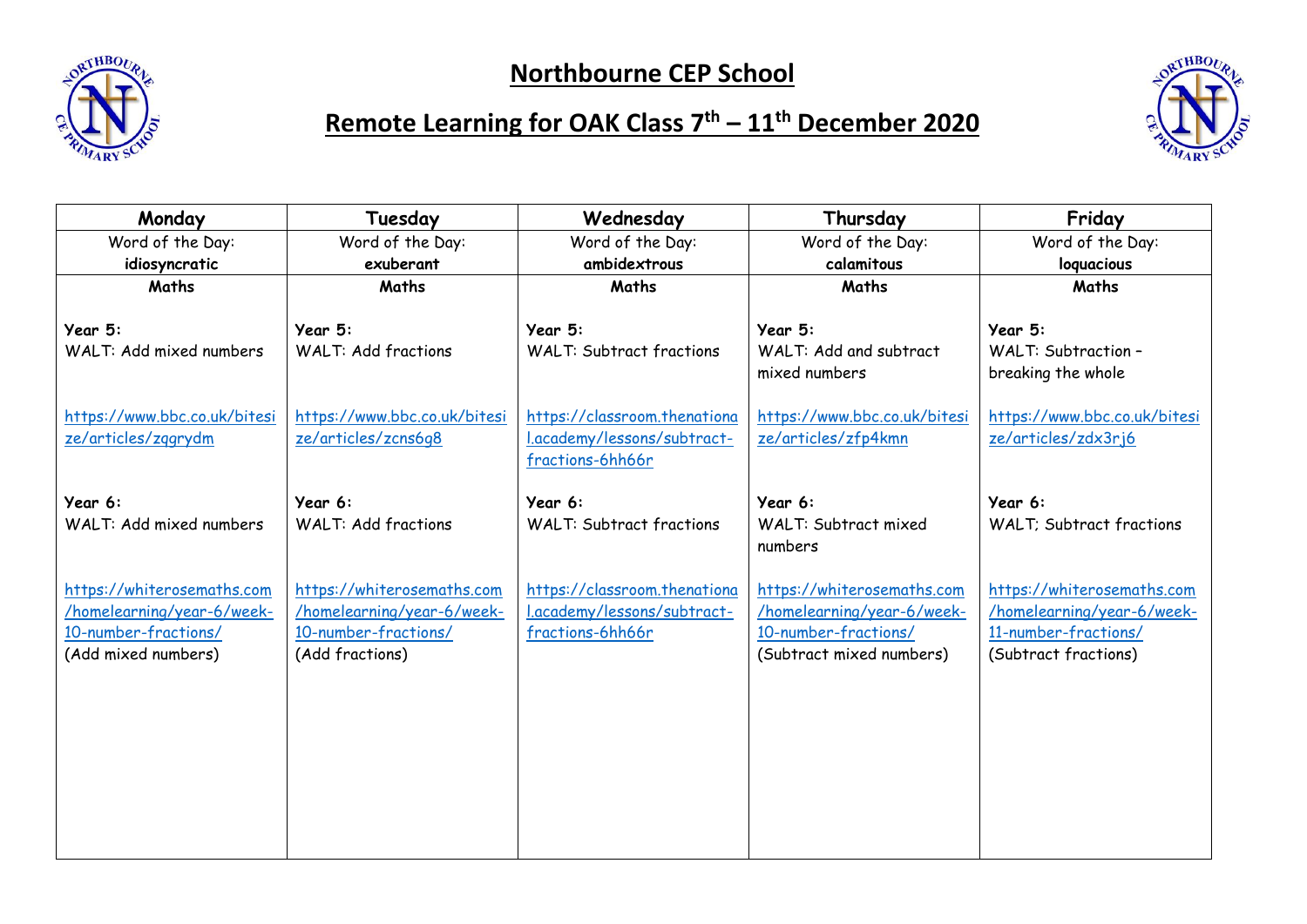

## **Northbourne CEP School**



## **Remote Learning for OAK Class 7 th – 11th December 2020**

| Monday                                                                                                  | Tuesday                                                                                             | Wednesday                                                                       | Thursday                                                                                                     | Friday                                                                                                   |
|---------------------------------------------------------------------------------------------------------|-----------------------------------------------------------------------------------------------------|---------------------------------------------------------------------------------|--------------------------------------------------------------------------------------------------------------|----------------------------------------------------------------------------------------------------------|
| Word of the Day:                                                                                        | Word of the Day:                                                                                    | Word of the Day:                                                                | Word of the Day:                                                                                             | Word of the Day:                                                                                         |
| idiosyncratic                                                                                           | exuberant                                                                                           | ambidextrous                                                                    | calamitous                                                                                                   | loquacious                                                                                               |
| Maths                                                                                                   | Maths                                                                                               | Maths                                                                           | Maths                                                                                                        | Maths                                                                                                    |
| Year 5:<br>WALT: Add mixed numbers                                                                      | Year 5:<br><b>WALT: Add fractions</b>                                                               | Year 5:<br><b>WALT: Subtract fractions</b>                                      | Year 5:<br>WALT: Add and subtract                                                                            | Year 5:<br><b>WALT: Subtraction -</b>                                                                    |
|                                                                                                         |                                                                                                     |                                                                                 | mixed numbers                                                                                                | breaking the whole                                                                                       |
| https://www.bbc.co.uk/bitesi<br>ze/articles/zggrydm                                                     | https://www.bbc.co.uk/bitesi<br>ze/articles/zcns6q8                                                 | https://classroom.thenationa<br>l.academy/lessons/subtract-<br>fractions-6hh66r | https://www.bbc.co.uk/bitesi<br>ze/articles/zfp4kmn                                                          | https://www.bbc.co.uk/bitesi<br>ze/articles/zdx3rj6                                                      |
| Year 6:                                                                                                 | Year 6:                                                                                             | Year 6:                                                                         | Year 6:                                                                                                      | Year 6:                                                                                                  |
| WALT: Add mixed numbers                                                                                 | <b>WALT: Add fractions</b>                                                                          | <b>WALT: Subtract fractions</b>                                                 | WALT: Subtract mixed<br>numbers                                                                              | <b>WALT: Subtract fractions</b>                                                                          |
| https://whiterosemaths.com<br>/homelearning/year-6/week-<br>10-number-fractions/<br>(Add mixed numbers) | https://whiterosemaths.com<br>/homelearning/year-6/week-<br>10-number-fractions/<br>(Add fractions) | https://classroom.thenationa<br>l.academy/lessons/subtract-<br>fractions-6hh66r | https://whiterosemaths.com<br>/homelearning/year-6/week-<br>10-number-fractions/<br>(Subtract mixed numbers) | https://whiterosemaths.com<br>/homelearning/year-6/week-<br>11-number-fractions/<br>(Subtract fractions) |
|                                                                                                         |                                                                                                     |                                                                                 |                                                                                                              |                                                                                                          |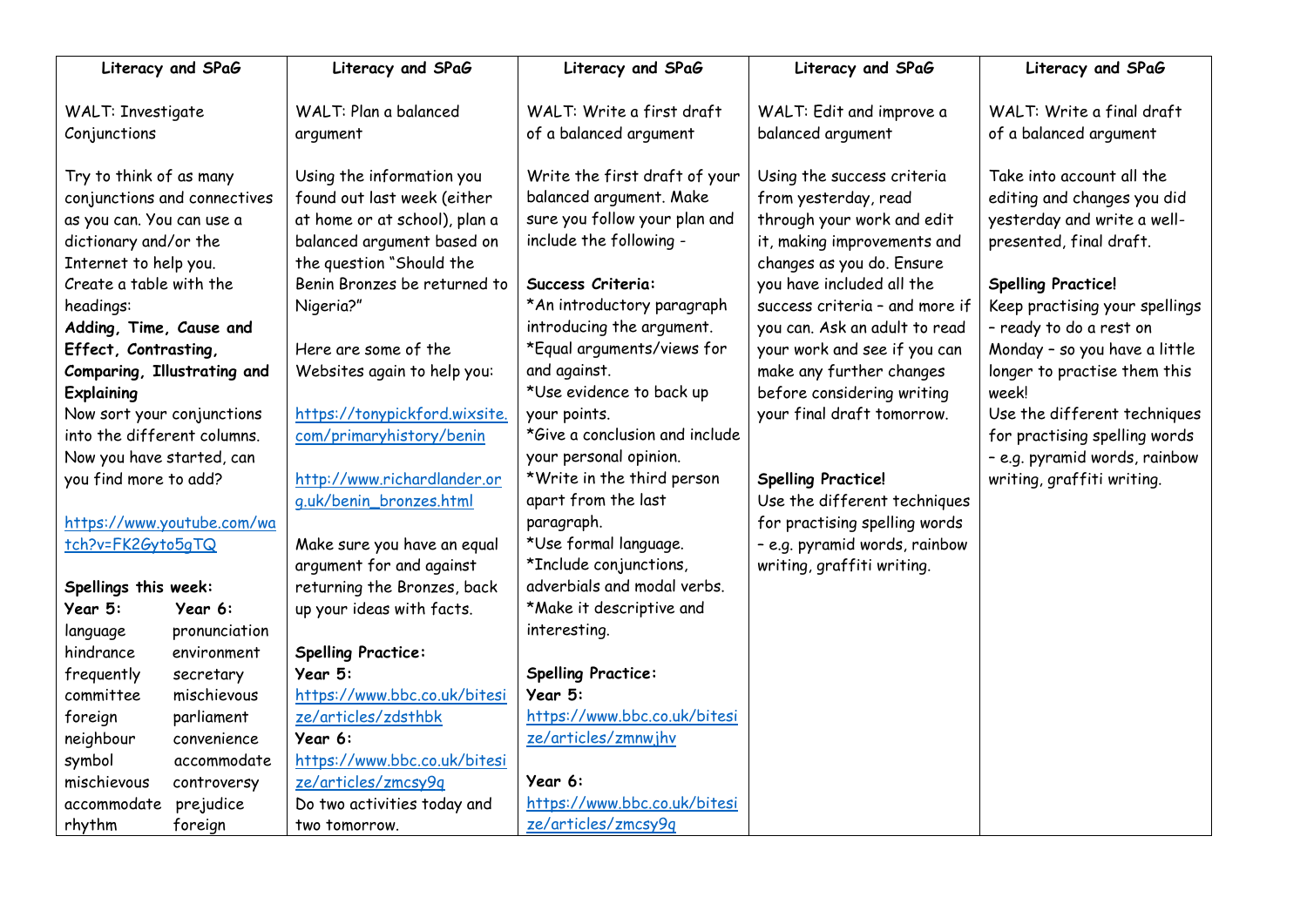|                             | Literacy and SPaG            | Literacy and SPaG             | Literacy and SPaG              | Literacy and SPaG              | Literacy and SPaG              |
|-----------------------------|------------------------------|-------------------------------|--------------------------------|--------------------------------|--------------------------------|
| <b>WALT: Investigate</b>    |                              | WALT: Plan a balanced         | WALT: Write a first draft      | WALT: Edit and improve a       | WALT: Write a final draft      |
| Conjunctions                |                              | argument                      | of a balanced argument         | balanced argument              | of a balanced argument         |
|                             |                              |                               |                                |                                |                                |
| Try to think of as many     |                              | Using the information you     | Write the first draft of your  | Using the success criteria     | Take into account all the      |
|                             | conjunctions and connectives | found out last week (either   | balanced argument. Make        | from yesterday, read           | editing and changes you did    |
| as you can. You can use a   |                              | at home or at school), plan a | sure you follow your plan and  | through your work and edit     | yesterday and write a well-    |
| dictionary and/or the       |                              | balanced argument based on    | include the following -        | it, making improvements and    | presented, final draft.        |
| Internet to help you.       |                              | the question "Should the      |                                | changes as you do. Ensure      |                                |
| Create a table with the     |                              | Benin Bronzes be returned to  | Success Criteria:              | you have included all the      | <b>Spelling Practice!</b>      |
| headings:                   |                              | Nigeria?"                     | *An introductory paragraph     | success criteria - and more if | Keep practising your spellings |
| Adding, Time, Cause and     |                              |                               | introducing the argument.      | you can. Ask an adult to read  | - ready to do a rest on        |
| Effect, Contrasting,        |                              | Here are some of the          | *Equal arguments/views for     | your work and see if you can   | Monday - so you have a little  |
|                             | Comparing, Illustrating and  | Websites again to help you:   | and against.                   | make any further changes       | longer to practise them this   |
| <b>Explaining</b>           |                              |                               | *Use evidence to back up       | before considering writing     | week!                          |
|                             | Now sort your conjunctions   | https://tonypickford.wixsite. | your points.                   | your final draft tomorrow.     | Use the different techniques   |
| into the different columns. |                              | com/primaryhistory/benin      | *Give a conclusion and include |                                | for practising spelling words  |
| Now you have started, can   |                              |                               | your personal opinion.         |                                | - e.g. pyramid words, rainbow  |
| you find more to add?       |                              | http://www.richardlander.or   | *Write in the third person     | <b>Spelling Practice!</b>      | writing, graffiti writing.     |
|                             |                              | g.uk/benin_bronzes.html       | apart from the last            | Use the different techniques   |                                |
|                             | https://www.youtube.com/wa   |                               | paragraph.                     | for practising spelling words  |                                |
| tch?v=FK2Gyto5qTQ           |                              | Make sure you have an equal   | *Use formal language.          | - e.g. pyramid words, rainbow  |                                |
|                             |                              | argument for and against      | *Include conjunctions,         | writing, graffiti writing.     |                                |
| Spellings this week:        |                              | returning the Bronzes, back   | adverbials and modal verbs.    |                                |                                |
| Year 5:                     | Year 6:                      | up your ideas with facts.     | *Make it descriptive and       |                                |                                |
| language                    | pronunciation                |                               | interesting.                   |                                |                                |
| hindrance                   | environment                  | <b>Spelling Practice:</b>     |                                |                                |                                |
| frequently                  | secretary                    | Year 5:                       | <b>Spelling Practice:</b>      |                                |                                |
| committee                   | mischievous                  | https://www.bbc.co.uk/bitesi  | Year 5:                        |                                |                                |
| foreign                     | parliament                   | ze/articles/zdsthbk           | https://www.bbc.co.uk/bitesi   |                                |                                |
| neighbour                   | convenience                  | Year 6:                       | ze/articles/zmnwjhv            |                                |                                |
| symbol                      | accommodate                  | https://www.bbc.co.uk/bitesi  |                                |                                |                                |
| mischievous                 | controversy                  | ze/articles/zmcsy9q           | Year 6:                        |                                |                                |
| accommodate                 | prejudice                    | Do two activities today and   | https://www.bbc.co.uk/bitesi   |                                |                                |
| rhythm                      | foreign                      | two tomorrow.                 | ze/articles/zmcsy9q            |                                |                                |